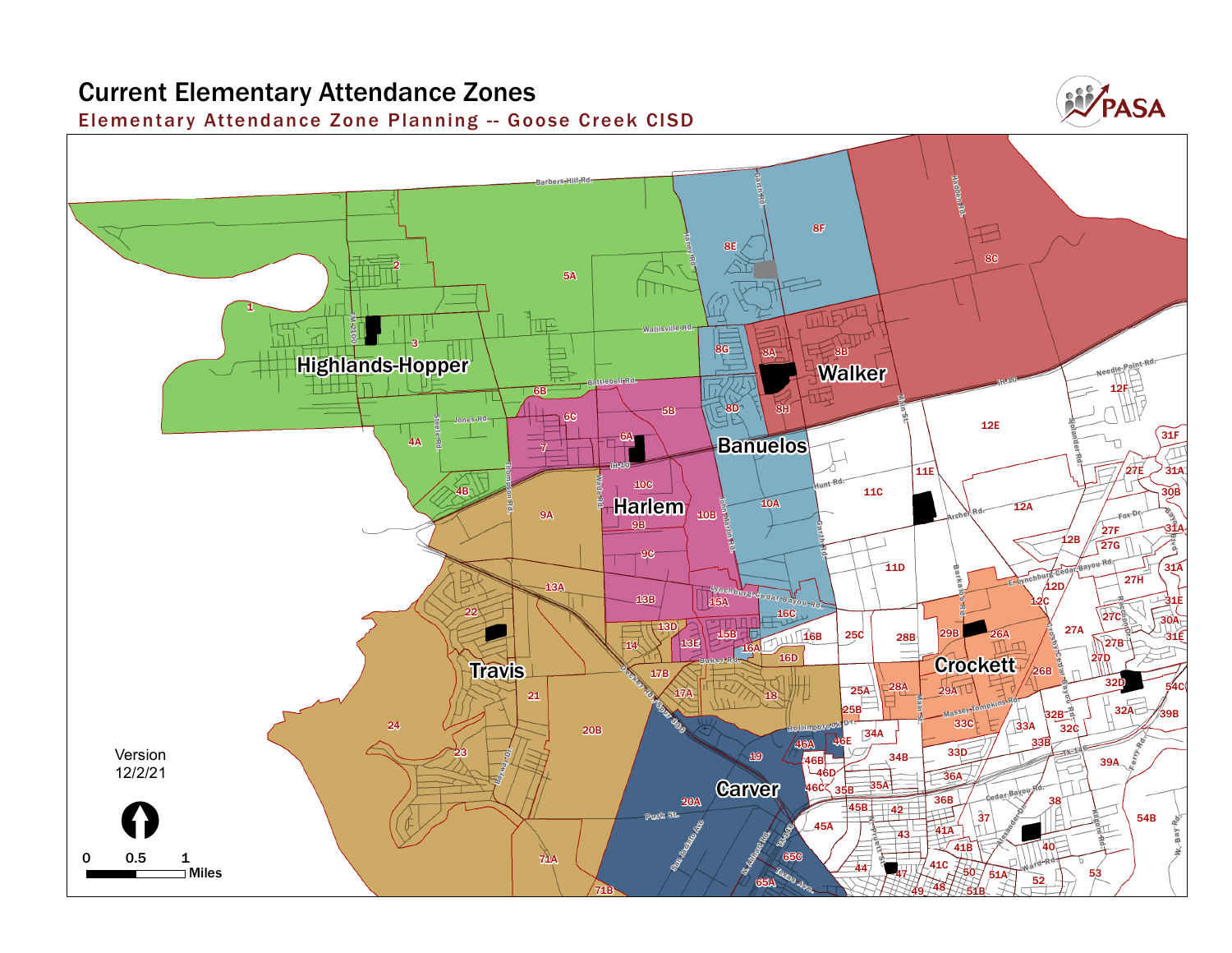## **Current Elementary Attendance Zones Elementar y Attendance Zone Planning -- Goose Creek CISD Garth Barbers Hill Rd.**